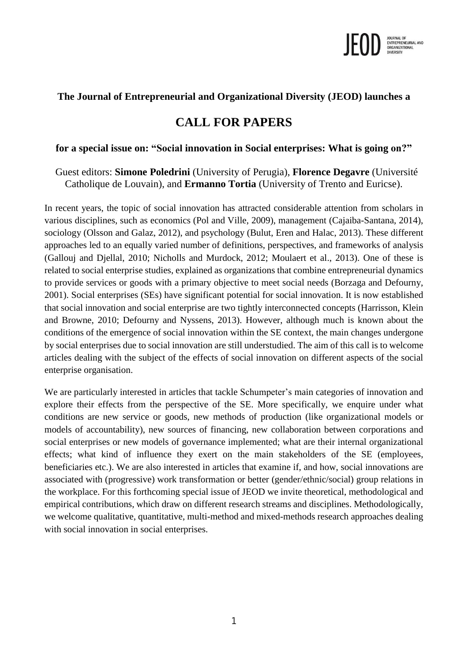

## **The Journal of Entrepreneurial and Organizational Diversity (JEOD) launches a**

# **CALL FOR PAPERS**

### **for a special issue on: "Social innovation in Social enterprises: What is going on?"**

Guest editors: **Simone Poledrini** (University of Perugia), **Florence Degavre** (Université Catholique de Louvain), and **Ermanno Tortia** (University of Trento and Euricse).

In recent years, the topic of social innovation has attracted considerable attention from scholars in various disciplines, such as economics (Pol and Ville, 2009), management (Cajaiba-Santana, 2014), sociology (Olsson and Galaz, 2012), and psychology (Bulut, Eren and Halac, 2013). These different approaches led to an equally varied number of definitions, perspectives, and frameworks of analysis (Gallouj and Djellal, 2010; Nicholls and Murdock, 2012; Moulaert et al., 2013). One of these is related to social enterprise studies, explained as organizations that combine entrepreneurial dynamics to provide services or goods with a primary objective to meet social needs (Borzaga and Defourny, 2001). Social enterprises (SEs) have significant potential for social innovation. It is now established that social innovation and social enterprise are two tightly interconnected concepts (Harrisson, Klein and Browne, 2010; Defourny and Nyssens, 2013). However, although much is known about the conditions of the emergence of social innovation within the SE context, the main changes undergone by social enterprises due to social innovation are still understudied. The aim of this call is to welcome articles dealing with the subject of the effects of social innovation on different aspects of the social enterprise organisation.

We are particularly interested in articles that tackle Schumpeter's main categories of innovation and explore their effects from the perspective of the SE. More specifically, we enquire under what conditions are new service or goods, new methods of production (like organizational models or models of accountability), new sources of financing, new collaboration between corporations and social enterprises or new models of governance implemented; what are their internal organizational effects; what kind of influence they exert on the main stakeholders of the SE (employees, beneficiaries etc.). We are also interested in articles that examine if, and how, social innovations are associated with (progressive) work transformation or better (gender/ethnic/social) group relations in the workplace. For this forthcoming special issue of JEOD we invite theoretical, methodological and empirical contributions, which draw on different research streams and disciplines. Methodologically, we welcome qualitative, quantitative, multi-method and mixed-methods research approaches dealing with social innovation in social enterprises.